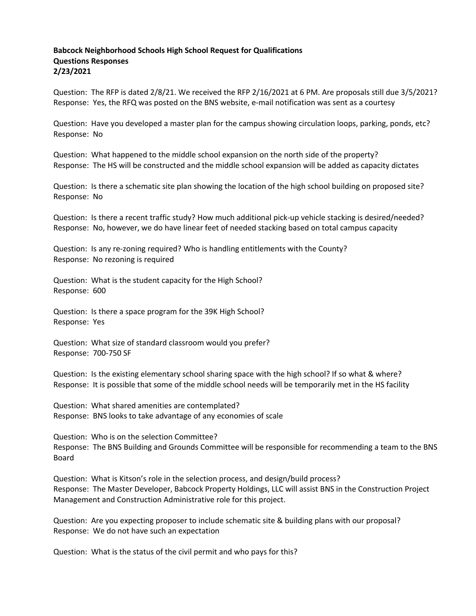## **Babcock Neighborhood Schools High School Request for Qualifications Questions Responses 2/23/2021**

Question: The RFP is dated 2/8/21. We received the RFP 2/16/2021 at 6 PM. Are proposals still due 3/5/2021? Response: Yes, the RFQ was posted on the BNS website, e-mail notification was sent as a courtesy

Question: Have you developed a master plan for the campus showing circulation loops, parking, ponds, etc? Response: No

Question: What happened to the middle school expansion on the north side of the property? Response: The HS will be constructed and the middle school expansion will be added as capacity dictates

Question: Is there a schematic site plan showing the location of the high school building on proposed site? Response: No

Question: Is there a recent traffic study? How much additional pick-up vehicle stacking is desired/needed? Response: No, however, we do have linear feet of needed stacking based on total campus capacity

Question: Is any re-zoning required? Who is handling entitlements with the County? Response: No rezoning is required

Question: What is the student capacity for the High School? Response: 600

Question: Is there a space program for the 39K High School? Response: Yes

Question: What size of standard classroom would you prefer? Response: 700-750 SF

Question: Is the existing elementary school sharing space with the high school? If so what & where? Response: It is possible that some of the middle school needs will be temporarily met in the HS facility

Question: What shared amenities are contemplated? Response: BNS looks to take advantage of any economies of scale

Question: Who is on the selection Committee? Response: The BNS Building and Grounds Committee will be responsible for recommending a team to the BNS Board

Question: What is Kitson's role in the selection process, and design/build process? Response: The Master Developer, Babcock Property Holdings, LLC will assist BNS in the Construction Project Management and Construction Administrative role for this project.

Question: Are you expecting proposer to include schematic site & building plans with our proposal? Response: We do not have such an expectation

Question: What is the status of the civil permit and who pays for this?